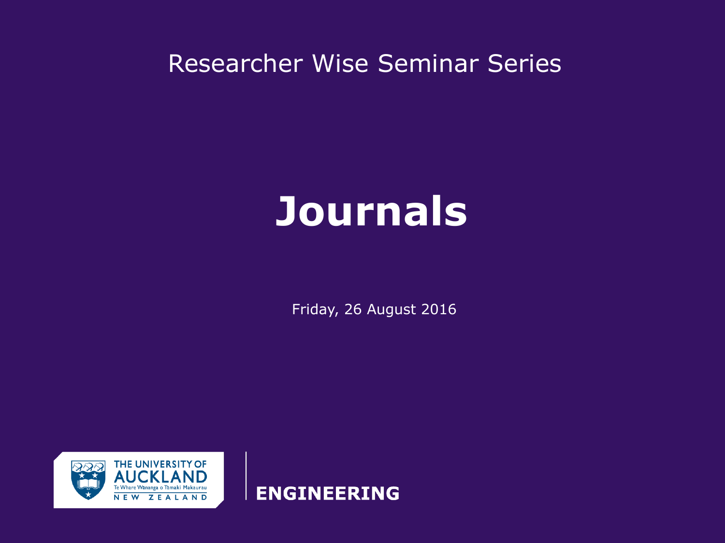Researcher Wise Seminar Series

# **Journals**

Friday, 26 August 2016



**ENGINEERING**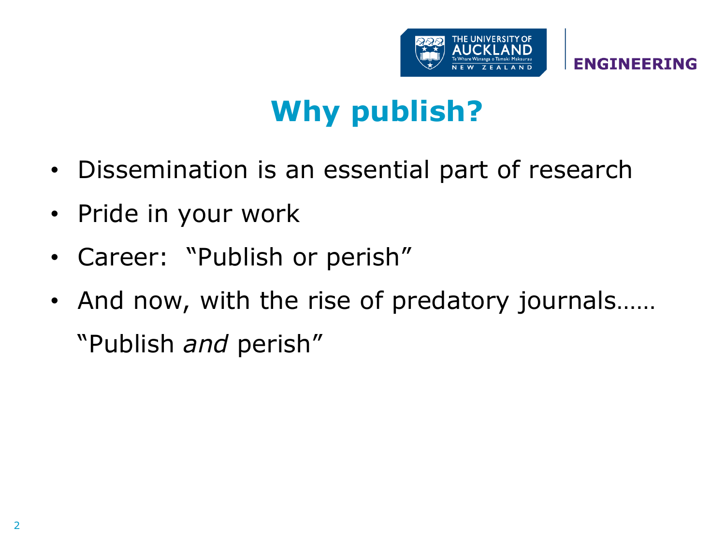

# **Why publish?**

- Dissemination is an essential part of research
- Pride in your work
- Career: "Publish or perish"
- And now, with the rise of predatory journals…… "Publish *and* perish"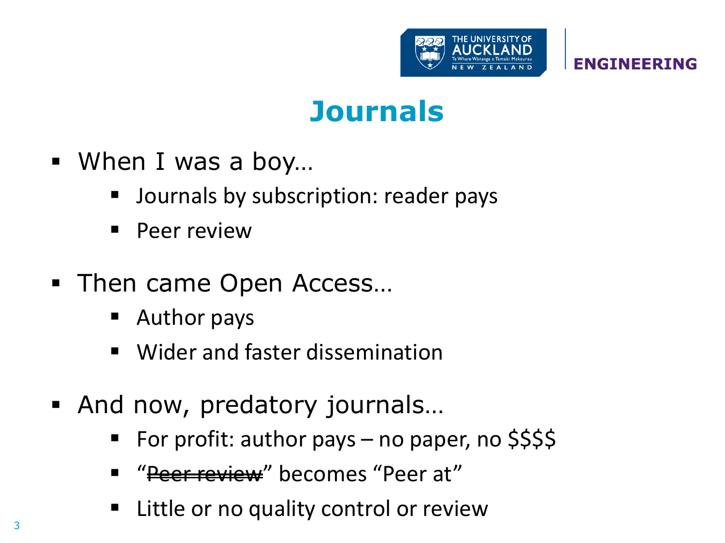

#### **Journals**

- When I was a boy...
	- Journals by subscription: reader pays
	- Peer review
- Then came Open Access...
	- Author pays
	- Wider and faster dissemination
- And now, predatory journals…
	- For profit: author pays no paper, no \$\$\$\$
	- "<del>Peer review</del>" becomes "Peer at"
	- Little or no quality control or review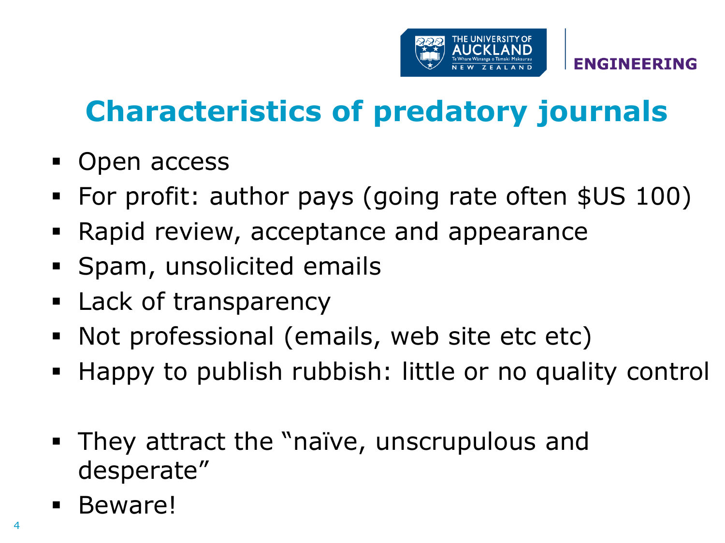

**ENGINE** 

# **Characteristics of predatory journals**

- Open access
- For profit: author pays (going rate often \$US 100)
- Rapid review, acceptance and appearance
- **Spam, unsolicited emails**
- **Lack of transparency**
- Not professional (emails, web site etc etc)
- Happy to publish rubbish: little or no quality control
- They attract the "naïve, unscrupulous and desperate"
- **Beware!**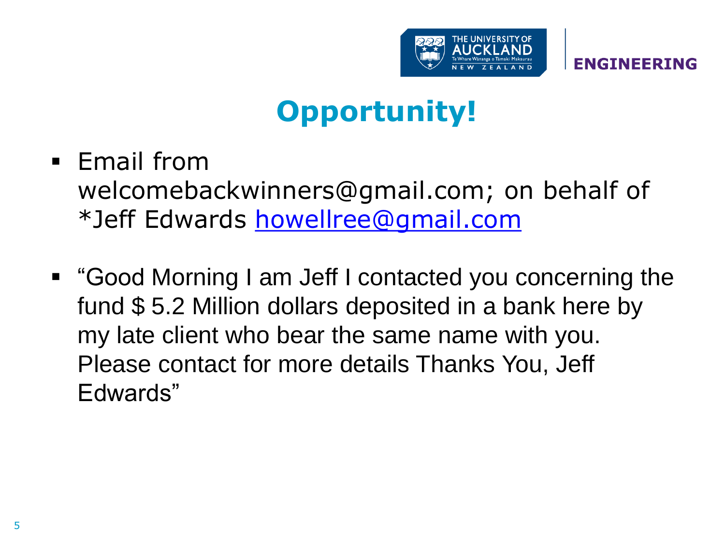

# **Opportunity!**

- Email from welcomebackwinners@gmail.com; on behalf of \*Jeff Edwards [howellree@gmail.com](mailto:howellree@gmail.com)
- "Good Morning I am Jeff I contacted you concerning the fund \$ 5.2 Million dollars deposited in a bank here by my late client who bear the same name with you. Please contact for more details Thanks You, Jeff Edwards"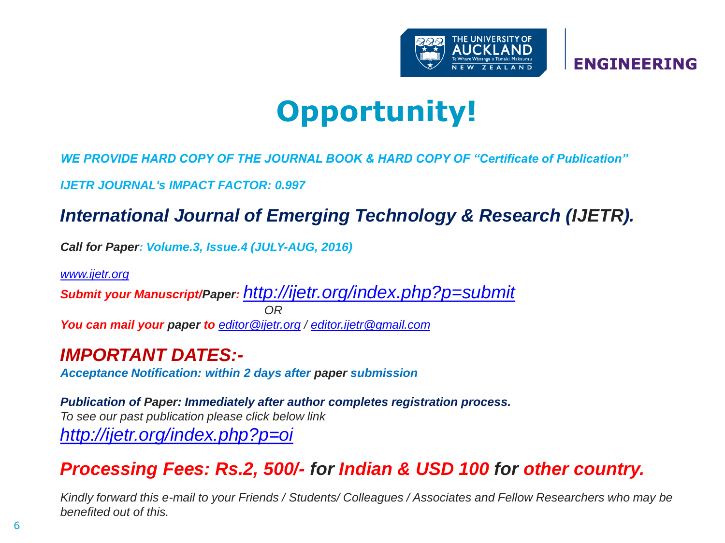

### **Opportunity!**

*WE PROVIDE HARD COPY OF THE JOURNAL BOOK & HARD COPY OF "Certificate of Publication"*

*IJETR JOURNAL's IMPACT FACTOR: 0.997*

#### *International Journal of Emerging Technology & Research (IJETR).*

*Call for Paper: Volume.3, Issue.4 (JULY-AUG, 2016)*

*[www.ijetr.org](http://www.ijetr.org/)*

*Submit your Manuscript/Paper: <http://ijetr.org/index.php?p=submit> OR You can mail your paper to [editor@ijetr.org](mailto:editor@ijetr.org) / [editor.ijetr@gmail.com](mailto:editor.ijetr@gmail.com)*

*IMPORTANT DATES:-*

*Acceptance Notification: within 2 days after paper submission*

*Publication of Paper: Immediately after author completes registration process. To see our past publication please click below link <http://ijetr.org/index.php?p=oi>*

#### *Processing Fees: Rs.2, 500/- for Indian & USD 100 for other country.*

*Kindly forward this e-mail to your Friends / Students/ Colleagues / Associates and Fellow Researchers who may be benefited out of this.*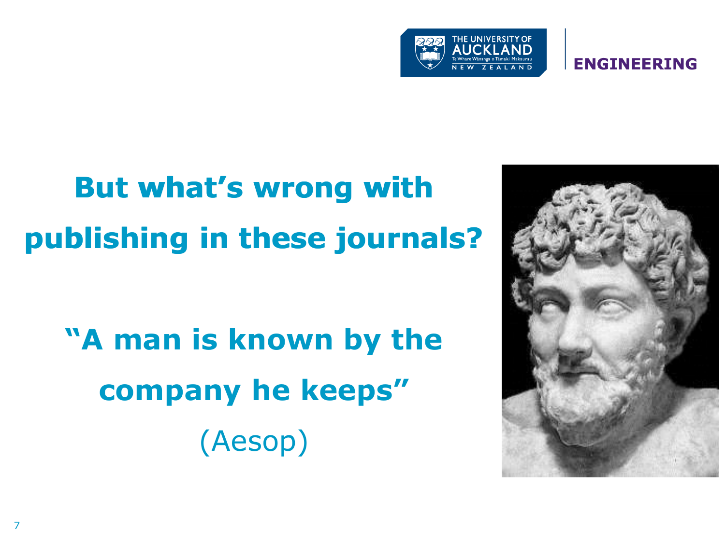

# But what's wrong with **publishing in these journals? publishing these journals?**

**"A man is known by the company he keeps"** (Aesop)

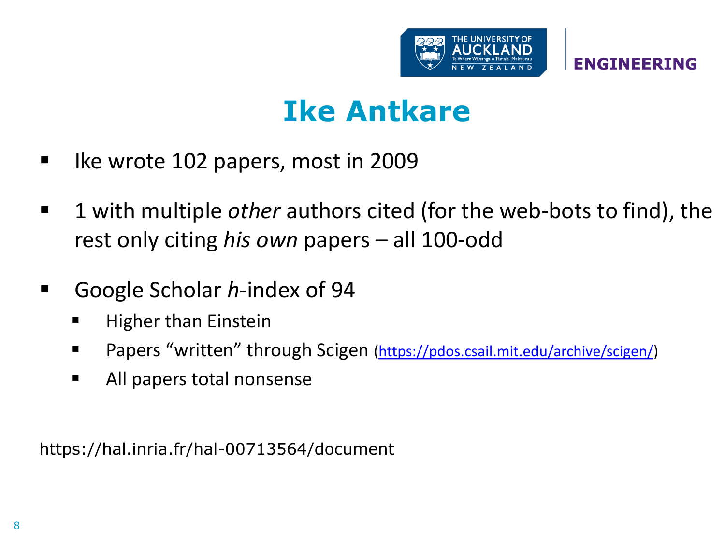

#### **Ike Antkare**

- Ike wrote 102 papers, most in 2009
- 1 with multiple *other* authors cited (for the web-bots to find), the rest only citing *his own* papers – all 100-odd
- Google Scholar *h*-index of 94
	- **Higher than Einstein**
	- Papers "written" through Scigen ([https://pdos.csail.mit.edu/archive/scigen/\)](https://pdos.csail.mit.edu/archive/scigen/)
	- All papers total nonsense

https://hal.inria.fr/hal-00713564/document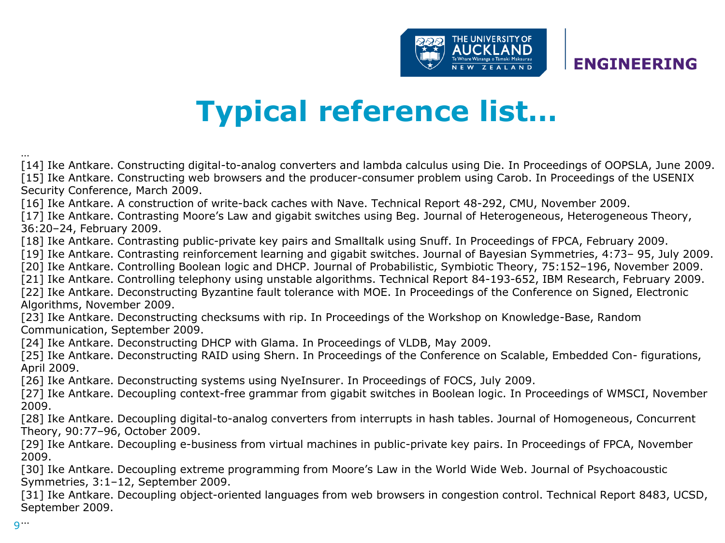

### **Typical reference list…**

[14] Ike Antkare. Constructing digital-to-analog converters and lambda calculus using Die. In Proceedings of OOPSLA, June 2009. [15] Ike Antkare. Constructing web browsers and the producer-consumer problem using Carob. In Proceedings of the USENIX Security Conference, March 2009.

[16] Ike Antkare. A construction of write-back caches with Nave. Technical Report 48-292, CMU, November 2009.

[17] Ike Antkare. Contrasting Moore's Law and gigabit switches using Beg. Journal of Heterogeneous, Heterogeneous Theory, 36:20–24, February 2009.

[18] Ike Antkare. Contrasting public-private key pairs and Smalltalk using Snuff. In Proceedings of FPCA, February 2009.

[19] Ike Antkare. Contrasting reinforcement learning and gigabit switches. Journal of Bayesian Symmetries, 4:73– 95, July 2009.

[20] Ike Antkare. Controlling Boolean logic and DHCP. Journal of Probabilistic, Symbiotic Theory, 75:152–196, November 2009.

[21] Ike Antkare. Controlling telephony using unstable algorithms. Technical Report 84-193-652, IBM Research, February 2009.

[22] Ike Antkare. Deconstructing Byzantine fault tolerance with MOE. In Proceedings of the Conference on Signed, Electronic Algorithms, November 2009.

[23] Ike Antkare. Deconstructing checksums with rip. In Proceedings of the Workshop on Knowledge-Base, Random Communication, September 2009.

[24] Ike Antkare. Deconstructing DHCP with Glama. In Proceedings of VLDB, May 2009.

[25] Ike Antkare. Deconstructing RAID using Shern. In Proceedings of the Conference on Scalable, Embedded Con- figurations, April 2009.

[26] Ike Antkare. Deconstructing systems using NyeInsurer. In Proceedings of FOCS, July 2009.

[27] Ike Antkare. Decoupling context-free grammar from gigabit switches in Boolean logic. In Proceedings of WMSCI, November 2009.

[28] Ike Antkare. Decoupling digital-to-analog converters from interrupts in hash tables. Journal of Homogeneous, Concurrent Theory, 90:77–96, October 2009.

[29] Ike Antkare. Decoupling e-business from virtual machines in public-private key pairs. In Proceedings of FPCA, November 2009.

[30] Ike Antkare. Decoupling extreme programming from Moore's Law in the World Wide Web. Journal of Psychoacoustic Symmetries, 3:1–12, September 2009.

[31] Ike Antkare. Decoupling object-oriented languages from web browsers in congestion control. Technical Report 8483, UCSD, September 2009.

…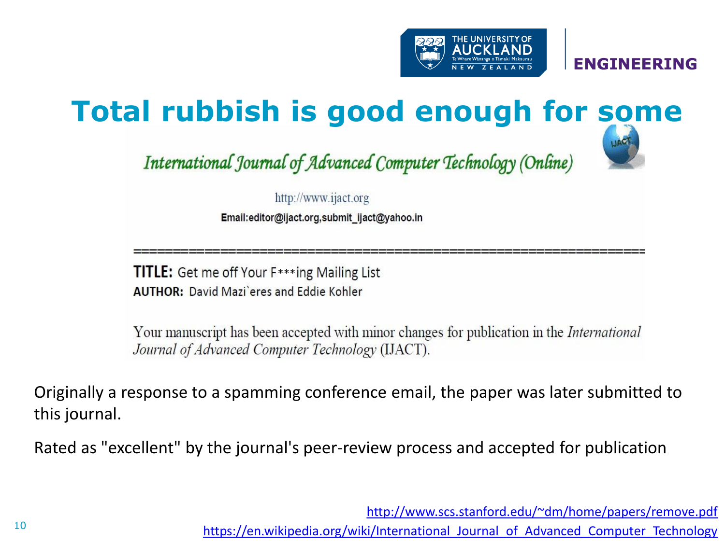

### **Total rubbish is good enough for some**

International Journal of Advanced Computer Technology (Online)



http://www.ijact.org

Email:editor@ijact.org,submit\_ijact@yahoo.in

TITLE: Get me off Your F\*\*\*ing Mailing List **AUTHOR: David Mazi** eres and Eddie Kohler

Your manuscript has been accepted with minor changes for publication in the *International* Journal of Advanced Computer Technology (IJACT).

Originally a response to a spamming conference email, the paper was later submitted to this journal.

Rated as "excellent" by the journal's peer-review process and accepted for publication

<http://www.scs.stanford.edu/~dm/home/papers/remove.pdf>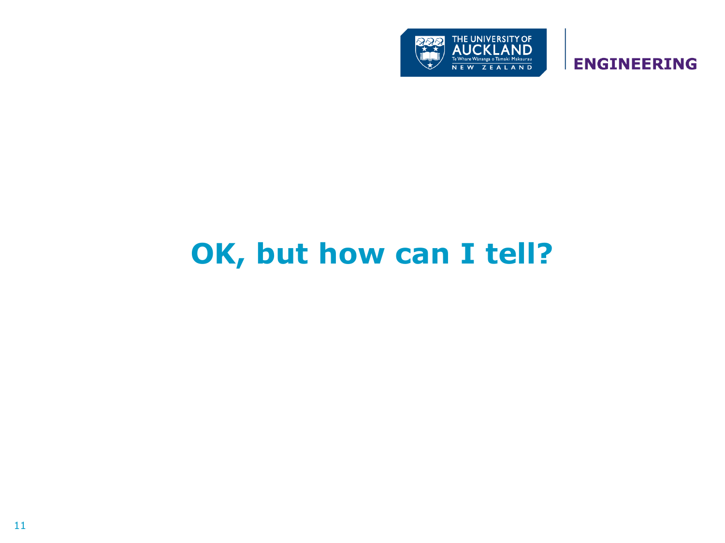

### **OK, but how can I tell?**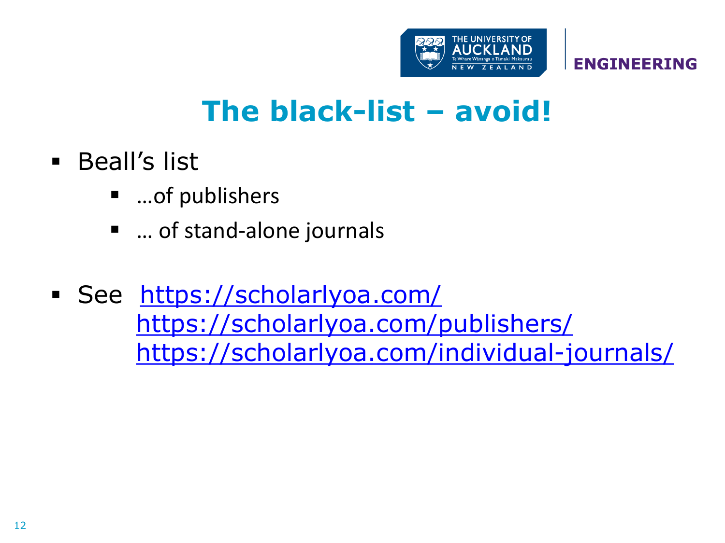

### **The black-list – avoid!**

- **Beall's list** 
	- …of publishers
	- … of stand-alone journals
- See <https://scholarlyoa.com/> <https://scholarlyoa.com/publishers/> <https://scholarlyoa.com/individual-journals/>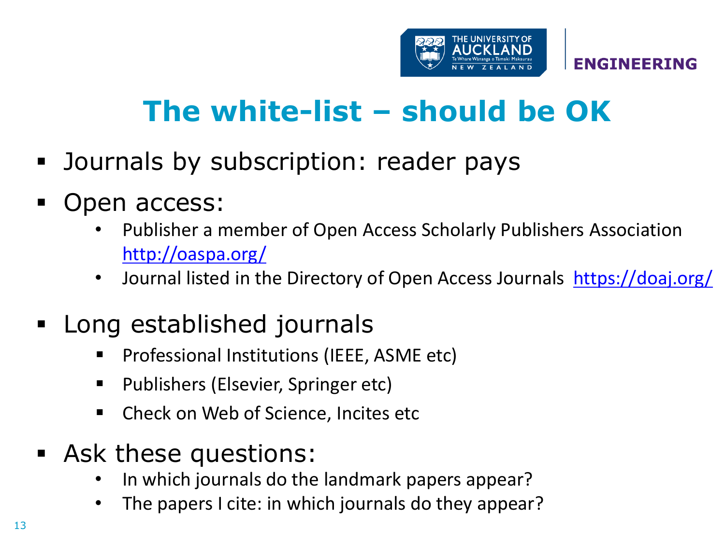

## **The white-list – should be OK**

- Journals by subscription: reader pays
- Open access:
	- Publisher a member of Open Access Scholarly Publishers Association <http://oaspa.org/>
	- Journal listed in the Directory of Open Access Journals <https://doaj.org/>

#### Long established journals

- Professional Institutions (IEEE, ASME etc)
- Publishers (Elsevier, Springer etc)
- Check on Web of Science, Incites etc
- Ask these questions:
	- In which journals do the landmark papers appear?
	- The papers I cite: in which journals do they appear?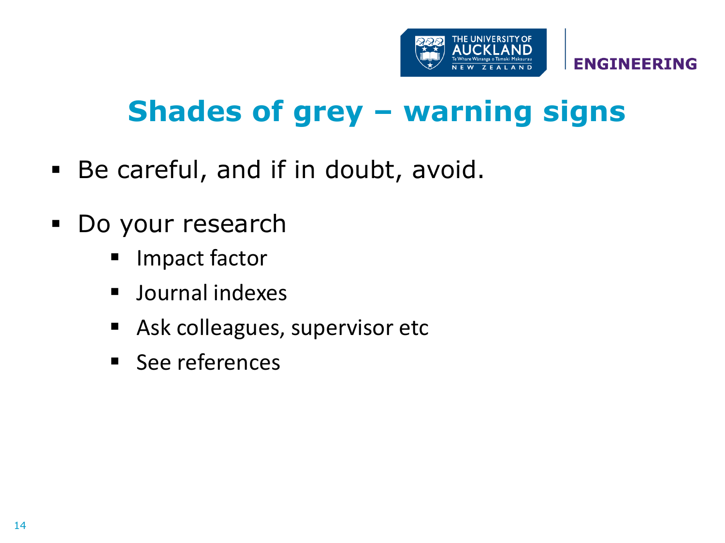

### **Shades of grey – warning signs**

- Be careful, and if in doubt, avoid.
- Do your research
	- Impact factor
	- **Journal indexes**
	- **Ask colleagues, supervisor etc**
	- See references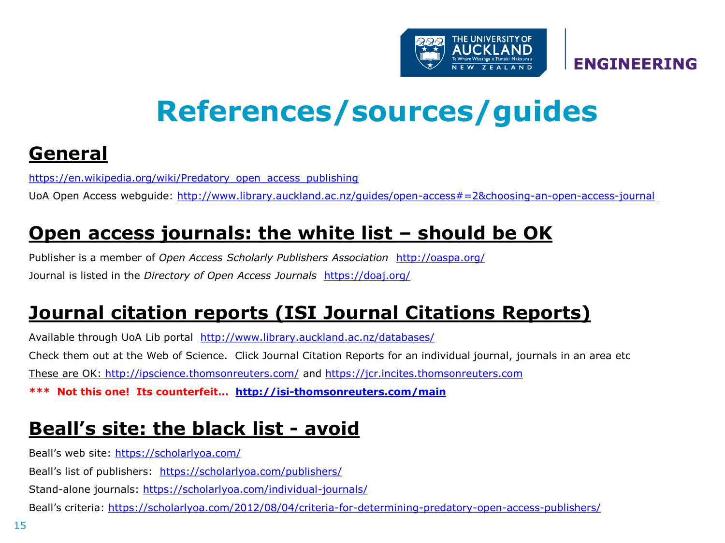

### **References/sources/guides**

#### **Genera[l](https://en.wikipedia.org/wiki/Predatory_open_access_publishing)**

[https://en.wikipedia.org/wiki/Predatory\\_open\\_access\\_publishing](https://en.wikipedia.org/wiki/Predatory_open_access_publishing)

UoA Open Access webguide: [http://www.library.auckland.ac.nz/guides/open-access#=2&choosing-an-open-access-journal](https://mail.auckland.ac.nz/owa/redir.aspx?SURL=SXNWRRXGtVANrw9ww7t5DrEjkhEIwukBJfT6Op-NJ9gLlqZkL8nTCGgAdAB0AHAAOgAvAC8AdwB3AHcALgBsAGkAYgByAGEAcgB5AC4AYQB1AGMAawBsAGEAbgBkAC4AYQBjAC4AbgB6AC8AZwB1AGkAZABlAHMALwBvAHAAZQBuAC0AYQBjAGMAZQBzAHMAIwA9ADIAJgBjAGgAbwBvAHMAaQBuAGcALQBhAG4ALQBvAHAAZQBuAC0AYQBjAGMAZQBzAHMALQBqAG8AdQByAG4AYQBsAA..&URL=http://www.library.auckland.ac.nz/guides/open-access#%3d2%26choosing-an-open-access-journal)

#### **Open access journals: the white list – should be OK**

Publisher is a member of *Open Access Scholarly Publishers Association* <http://oaspa.org/> Journal is listed in the *Directory of Open Access Journals* <https://doaj.org/>

#### **Journal citation reports (ISI Journal Citations Reports)**

Available through UoA Lib portal <http://www.library.auckland.ac.nz/databases/> Check them out at the Web of Science. Click Journal Citation Reports for an individual journal, journals in an area etc These are OK:<http://ipscience.thomsonreuters.com/> and [https://jcr.incites.thomsonreuters.com](https://jcr.incites.thomsonreuters.com/) **\*\*\* Not this one! Its counterfeit… <http://isi-thomsonreuters.com/main>**

#### **Beall's site: the black list - avoid**

Beall's web site:<https://scholarlyoa.com/>

Beall's list of publishers: <https://scholarlyoa.com/publishers/>

Stand-alone journals: <https://scholarlyoa.com/individual-journals/>

Beall's criteria: <https://scholarlyoa.com/2012/08/04/criteria-for-determining-predatory-open-access-publishers/>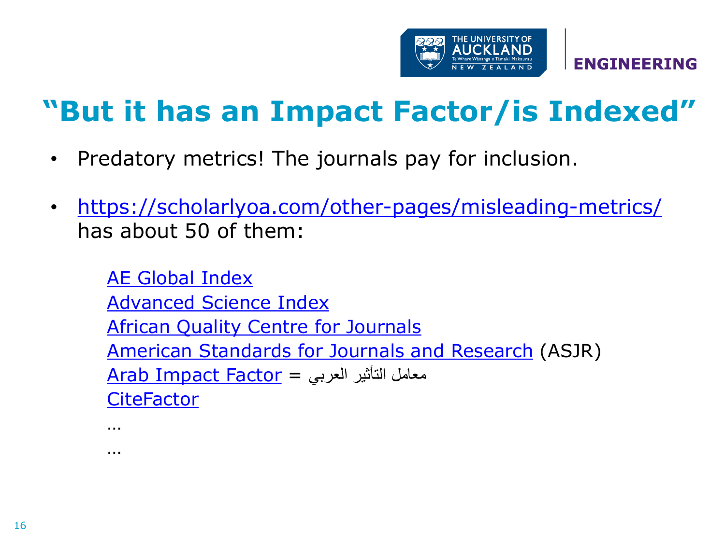

### **"But it has an Impact Factor/is Indexed"**

- Predatory metrics! The journals pay for inclusion.
- <https://scholarlyoa.com/other-pages/misleading-metrics/> has about 50 of them:

[AE Global Index](http://aeglobalindex.com/) [Advanced Science Index](http://journal-index.org/index.php/asi) **[African Quality Centre for Journals](http://aqcj.org/index.html)** [American Standards for Journals and Research](http://www.journal-metrics.com/index.php) (ASJR) معامل التأثير العربي = <u>Arab Impact Factor</u> **[CiteFactor](http://www.citefactor.org/)** 

…

…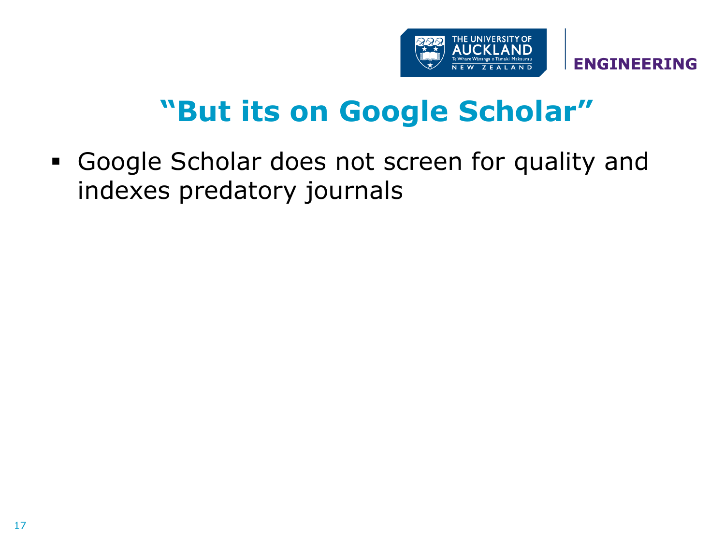

### **"But its on Google Scholar"**

 Google Scholar does not screen for quality and indexes predatory journals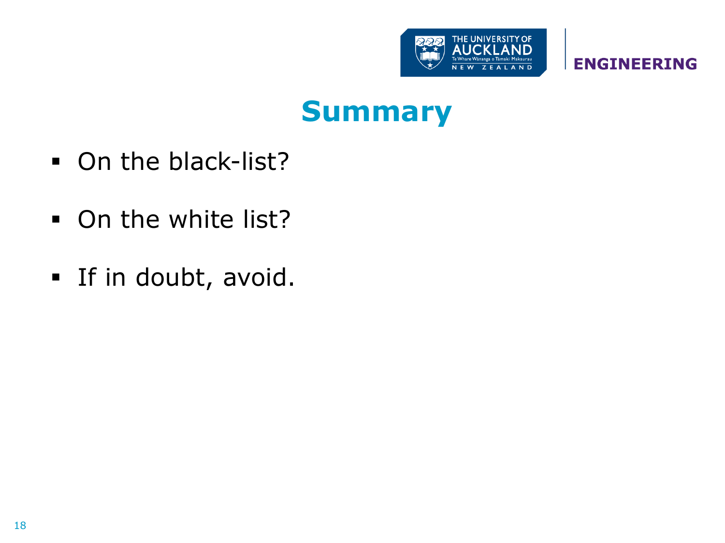

#### **Summary**

- On the black-list?
- On the white list?
- **If in doubt, avoid.**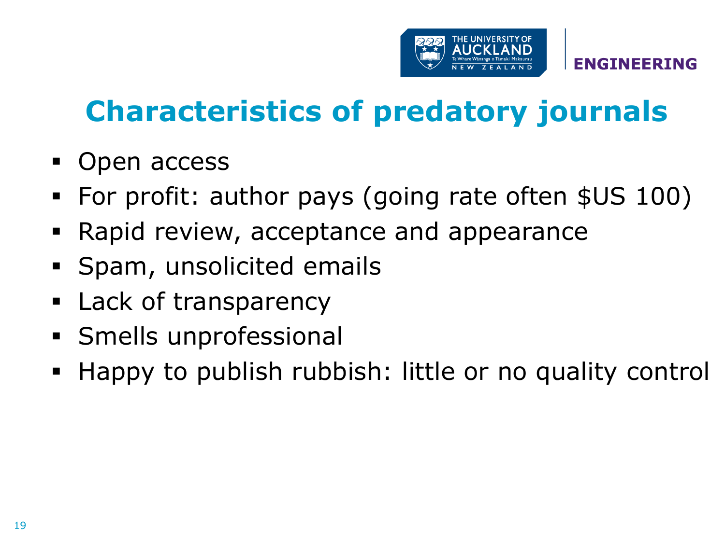

## **Characteristics of predatory journals**

- Open access
- For profit: author pays (going rate often \$US 100)
- Rapid review, acceptance and appearance
- **Spam, unsolicited emails**
- **Lack of transparency**
- Smells unprofessional
- Happy to publish rubbish: little or no quality control